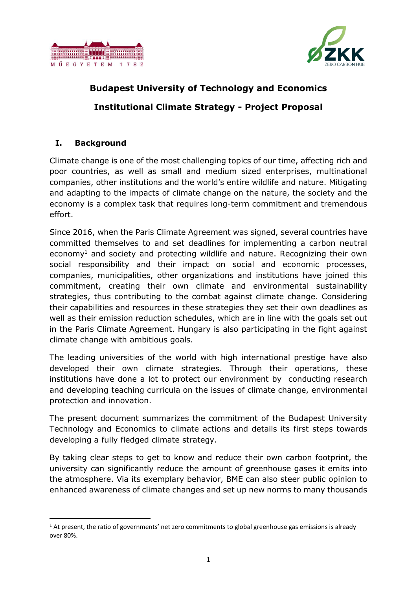



# **Budapest University of Technology and Economics Institutional Climate Strategy - Project Proposal**

## **I. Background**

**.** 

Climate change is one of the most challenging topics of our time, affecting rich and poor countries, as well as small and medium sized enterprises, multinational companies, other institutions and the world's entire wildlife and nature. Mitigating and adapting to the impacts of climate change on the nature, the society and the economy is a complex task that requires long-term commitment and tremendous effort.

Since 2016, when the Paris Climate Agreement was signed, several countries have committed themselves to and set deadlines for implementing a carbon neutral economy<sup>1</sup> and society and protecting wildlife and nature. Recognizing their own social responsibility and their impact on social and economic processes, companies, municipalities, other organizations and institutions have joined this commitment, creating their own climate and environmental sustainability strategies, thus contributing to the combat against climate change. Considering their capabilities and resources in these strategies they set their own deadlines as well as their emission reduction schedules, which are in line with the goals set out in the Paris Climate Agreement. Hungary is also participating in the fight against climate change with ambitious goals.

The leading universities of the world with high international prestige have also developed their own climate strategies. Through their operations, these institutions have done a lot to protect our environment by conducting research and developing teaching curricula on the issues of climate change, environmental protection and innovation.

The present document summarizes the commitment of the Budapest University Technology and Economics to climate actions and details its first steps towards developing a fully fledged climate strategy.

By taking clear steps to get to know and reduce their own carbon footprint, the university can significantly reduce the amount of greenhouse gases it emits into the atmosphere. Via its exemplary behavior, BME can also steer public opinion to enhanced awareness of climate changes and set up new norms to many thousands

 $<sup>1</sup>$  At present, the ratio of governments' net zero commitments to global greenhouse gas emissions is already</sup> over 80%.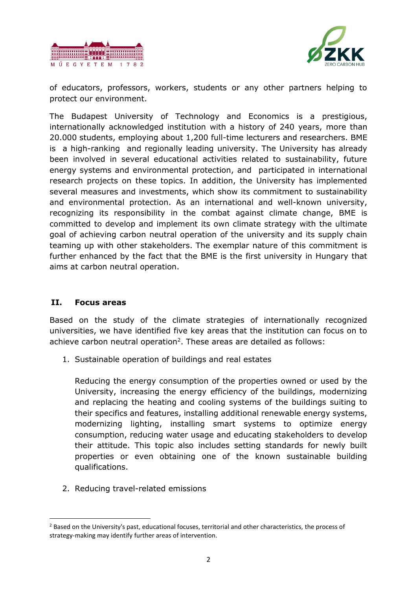



of educators, professors, workers, students or any other partners helping to protect our environment.

The Budapest University of Technology and Economics is a prestigious, internationally acknowledged institution with a history of 240 years, more than 20.000 students, employing about 1,200 full-time lecturers and researchers. BME is a high-ranking and regionally leading university. The University has already been involved in several educational activities related to sustainability, future energy systems and environmental protection, and participated in international research projects on these topics. In addition, the University has implemented several measures and investments, which show its commitment to sustainability and environmental protection. As an international and well-known university, recognizing its responsibility in the combat against climate change, BME is committed to develop and implement its own climate strategy with the ultimate goal of achieving carbon neutral operation of the university and its supply chain teaming up with other stakeholders. The exemplar nature of this commitment is further enhanced by the fact that the BME is the first university in Hungary that aims at carbon neutral operation.

#### **II. Focus areas**

**.** 

Based on the study of the climate strategies of internationally recognized universities, we have identified five key areas that the institution can focus on to achieve carbon neutral operation<sup>2</sup>. These areas are detailed as follows:

1. Sustainable operation of buildings and real estates

Reducing the energy consumption of the properties owned or used by the University, increasing the energy efficiency of the buildings, modernizing and replacing the heating and cooling systems of the buildings suiting to their specifics and features, installing additional renewable energy systems, modernizing lighting, installing smart systems to optimize energy consumption, reducing water usage and educating stakeholders to develop their attitude. This topic also includes setting standards for newly built properties or even obtaining one of the known sustainable building qualifications.

2. Reducing travel-related emissions

<sup>&</sup>lt;sup>2</sup> Based on the University's past, educational focuses, territorial and other characteristics, the process of strategy-making may identify further areas of intervention.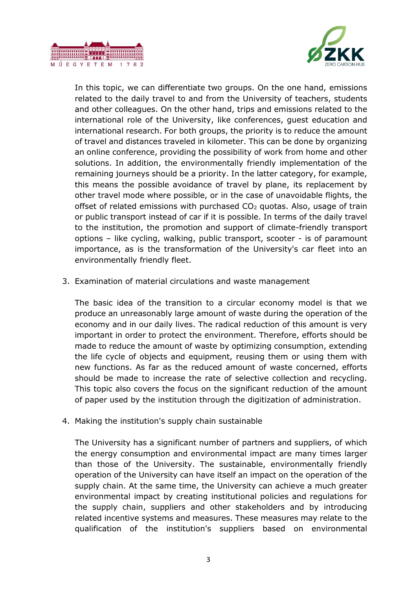



In this topic, we can differentiate two groups. On the one hand, emissions related to the daily travel to and from the University of teachers, students and other colleagues. On the other hand, trips and emissions related to the international role of the University, like conferences, guest education and international research. For both groups, the priority is to reduce the amount of travel and distances traveled in kilometer. This can be done by organizing an online conference, providing the possibility of work from home and other solutions. In addition, the environmentally friendly implementation of the remaining journeys should be a priority. In the latter category, for example, this means the possible avoidance of travel by plane, its replacement by other travel mode where possible, or in the case of unavoidable flights, the offset of related emissions with purchased  $CO<sub>2</sub>$  quotas. Also, usage of train or public transport instead of car if it is possible. In terms of the daily travel to the institution, the promotion and support of climate-friendly transport options – like cycling, walking, public transport, scooter - is of paramount importance, as is the transformation of the University's car fleet into an environmentally friendly fleet.

3. Examination of material circulations and waste management

The basic idea of the transition to a circular economy model is that we produce an unreasonably large amount of waste during the operation of the economy and in our daily lives. The radical reduction of this amount is very important in order to protect the environment. Therefore, efforts should be made to reduce the amount of waste by optimizing consumption, extending the life cycle of objects and equipment, reusing them or using them with new functions. As far as the reduced amount of waste concerned, efforts should be made to increase the rate of selective collection and recycling. This topic also covers the focus on the significant reduction of the amount of paper used by the institution through the digitization of administration.

4. Making the institution's supply chain sustainable

The University has a significant number of partners and suppliers, of which the energy consumption and environmental impact are many times larger than those of the University. The sustainable, environmentally friendly operation of the University can have itself an impact on the operation of the supply chain. At the same time, the University can achieve a much greater environmental impact by creating institutional policies and regulations for the supply chain, suppliers and other stakeholders and by introducing related incentive systems and measures. These measures may relate to the qualification of the institution's suppliers based on environmental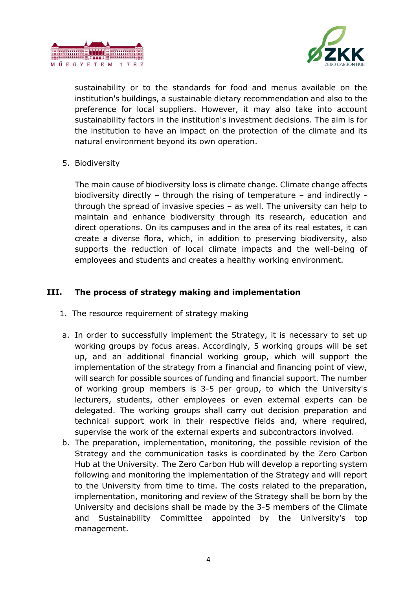



sustainability or to the standards for food and menus available on the institution's buildings, a sustainable dietary recommendation and also to the preference for local suppliers. However, it may also take into account sustainability factors in the institution's investment decisions. The aim is for the institution to have an impact on the protection of the climate and its natural environment beyond its own operation.

5. Biodiversity

The main cause of biodiversity loss is climate change. Climate change affects biodiversity directly – through the rising of temperature – and indirectly through the spread of invasive species – as well. The university can help to maintain and enhance biodiversity through its research, education and direct operations. On its campuses and in the area of its real estates, it can create a diverse flora, which, in addition to preserving biodiversity, also supports the reduction of local climate impacts and the well-being of employees and students and creates a healthy working environment.

### **III. The process of strategy making and implementation**

- 1. The resource requirement of strategy making
- a. In order to successfully implement the Strategy, it is necessary to set up working groups by focus areas. Accordingly, 5 working groups will be set up, and an additional financial working group, which will support the implementation of the strategy from a financial and financing point of view, will search for possible sources of funding and financial support. The number of working group members is 3-5 per group, to which the University's lecturers, students, other employees or even external experts can be delegated. The working groups shall carry out decision preparation and technical support work in their respective fields and, where required, supervise the work of the external experts and subcontractors involved.
- b. The preparation, implementation, monitoring, the possible revision of the Strategy and the communication tasks is coordinated by the Zero Carbon Hub at the University. The Zero Carbon Hub will develop a reporting system following and monitoring the implementation of the Strategy and will report to the University from time to time. The costs related to the preparation, implementation, monitoring and review of the Strategy shall be born by the University and decisions shall be made by the 3-5 members of the Climate and Sustainability Committee appointed by the University's top management.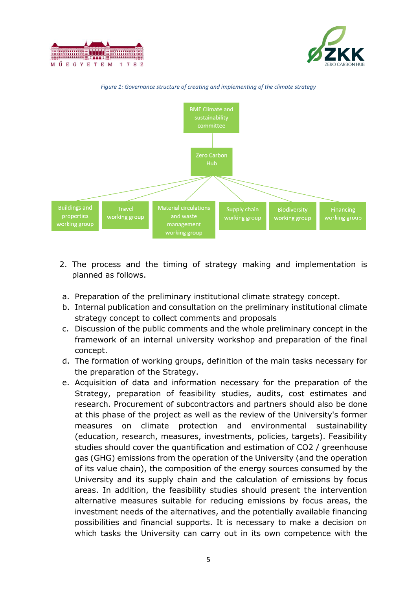





*Figure 1: Governance structure of creating and implementing of the climate strategy*

- 2. The process and the timing of strategy making and implementation is planned as follows.
- a. Preparation of the preliminary institutional climate strategy concept.
- b. Internal publication and consultation on the preliminary institutional climate strategy concept to collect comments and proposals
- c. Discussion of the public comments and the whole preliminary concept in the framework of an internal university workshop and preparation of the final concept.
- d. The formation of working groups, definition of the main tasks necessary for the preparation of the Strategy.
- e. Acquisition of data and information necessary for the preparation of the Strategy, preparation of feasibility studies, audits, cost estimates and research. Procurement of subcontractors and partners should also be done at this phase of the project as well as the review of the University's former measures on climate protection and environmental sustainability (education, research, measures, investments, policies, targets). Feasibility studies should cover the quantification and estimation of CO2 / greenhouse gas (GHG) emissions from the operation of the University (and the operation of its value chain), the composition of the energy sources consumed by the University and its supply chain and the calculation of emissions by focus areas. In addition, the feasibility studies should present the intervention alternative measures suitable for reducing emissions by focus areas, the investment needs of the alternatives, and the potentially available financing possibilities and financial supports. It is necessary to make a decision on which tasks the University can carry out in its own competence with the